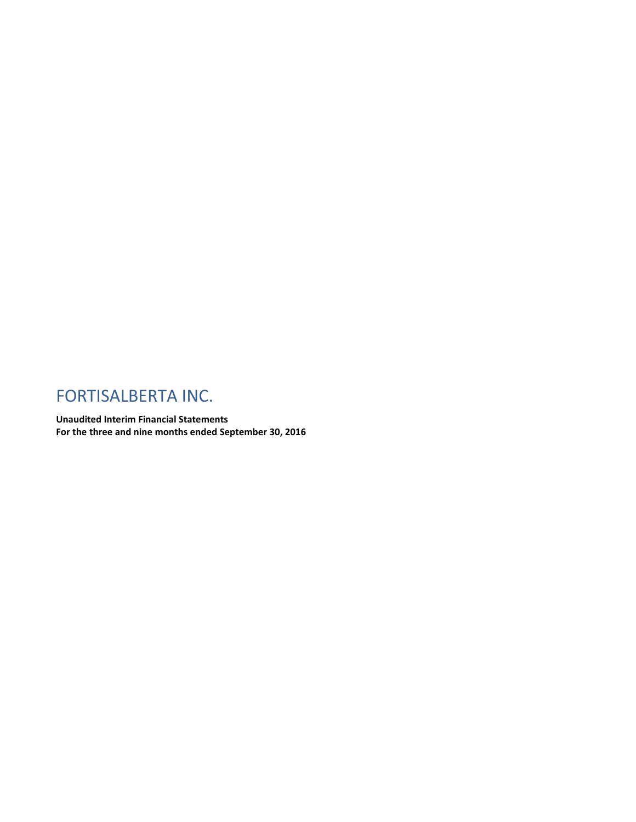# FORTISALBERTA INC.

**Unaudited Interim Financial Statements For the three and nine months ended September 30, 2016**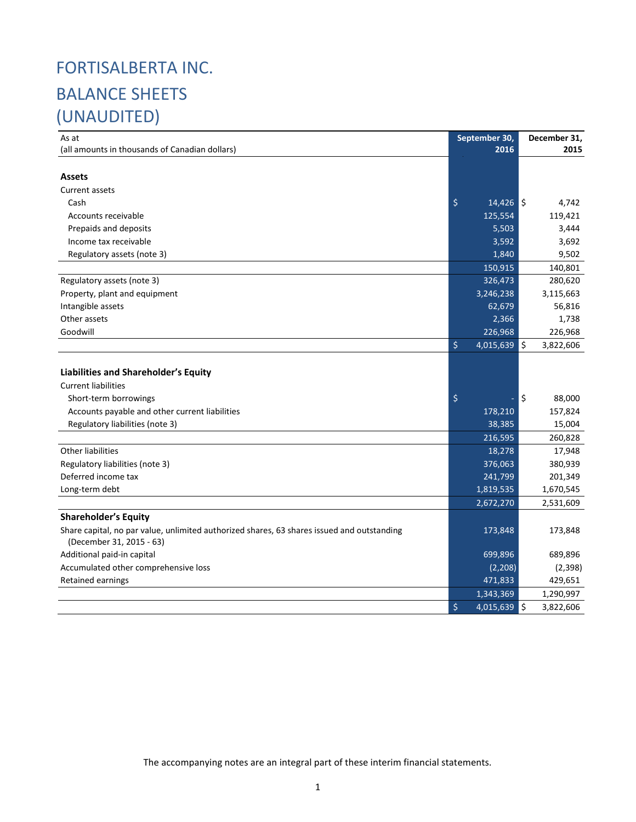# FORTISALBERTA INC. BALANCE SHEETS (UNAUDITED)

| As at                                                                                      | September 30,        | December 31, |           |  |
|--------------------------------------------------------------------------------------------|----------------------|--------------|-----------|--|
| (all amounts in thousands of Canadian dollars)                                             | 2016                 |              | 2015      |  |
|                                                                                            |                      |              |           |  |
| <b>Assets</b>                                                                              |                      |              |           |  |
| Current assets                                                                             |                      |              |           |  |
| Cash                                                                                       | \$<br>$14,426$ \$    |              | 4,742     |  |
| Accounts receivable                                                                        | 125,554              |              | 119,421   |  |
| Prepaids and deposits                                                                      | 5,503                |              | 3,444     |  |
| Income tax receivable                                                                      | 3,592                |              | 3,692     |  |
| Regulatory assets (note 3)                                                                 | 1,840                |              | 9,502     |  |
|                                                                                            | 150,915              |              | 140,801   |  |
| Regulatory assets (note 3)                                                                 | 326,473              |              | 280,620   |  |
| Property, plant and equipment                                                              | 3,246,238            |              | 3,115,663 |  |
| Intangible assets                                                                          | 62,679               |              | 56,816    |  |
| Other assets                                                                               | 2,366                |              | 1,738     |  |
| Goodwill                                                                                   | 226,968              |              | 226,968   |  |
|                                                                                            | \$<br>$4,015,639$ \$ |              | 3,822,606 |  |
|                                                                                            |                      |              |           |  |
| Liabilities and Shareholder's Equity                                                       |                      |              |           |  |
| <b>Current liabilities</b>                                                                 |                      |              |           |  |
| Short-term borrowings                                                                      | \$                   | ۱\$          | 88,000    |  |
| Accounts payable and other current liabilities                                             | 178,210              |              | 157,824   |  |
| Regulatory liabilities (note 3)                                                            | 38,385               |              | 15,004    |  |
|                                                                                            | 216,595              |              | 260,828   |  |
| <b>Other liabilities</b>                                                                   | 18,278               |              | 17,948    |  |
| Regulatory liabilities (note 3)                                                            | 376,063              |              | 380,939   |  |
| Deferred income tax                                                                        | 241,799              |              | 201,349   |  |
| Long-term debt                                                                             | 1,819,535            |              | 1,670,545 |  |
|                                                                                            | 2,672,270            |              | 2,531,609 |  |
| <b>Shareholder's Equity</b>                                                                |                      |              |           |  |
| Share capital, no par value, unlimited authorized shares, 63 shares issued and outstanding | 173,848              |              | 173,848   |  |
| (December 31, 2015 - 63)                                                                   |                      |              |           |  |
| Additional paid-in capital                                                                 | 699,896              |              | 689,896   |  |
| Accumulated other comprehensive loss                                                       | (2,208)              |              | (2,398)   |  |
| <b>Retained earnings</b>                                                                   | 471,833              |              | 429,651   |  |
|                                                                                            | 1,343,369            |              | 1,290,997 |  |
|                                                                                            | \$<br>$4,015,639$ \$ |              | 3,822,606 |  |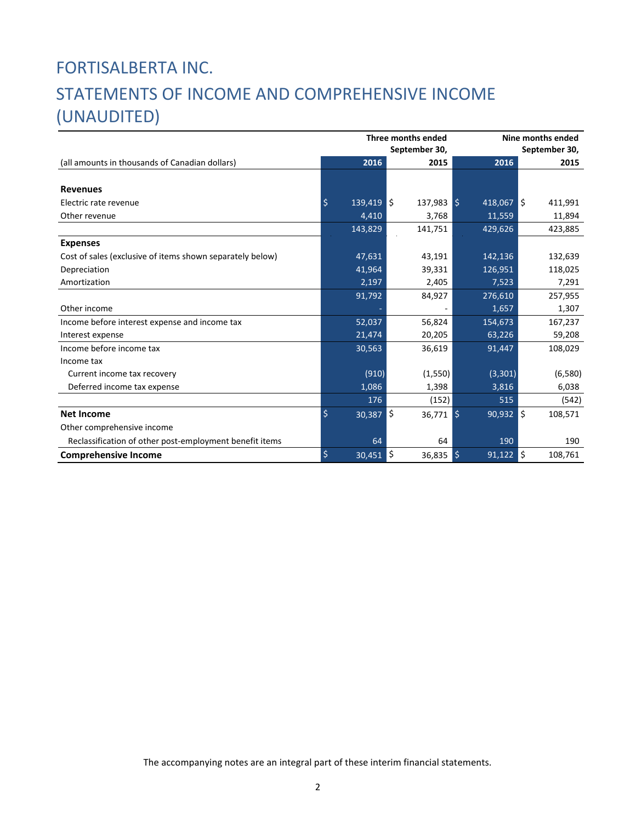# FORTISALBERTA INC. STATEMENTS OF INCOME AND COMPREHENSIVE INCOME (UNAUDITED)

|                                                           |         |                | Three months ended | Nine months ended<br>September 30, |                |  |  |  |
|-----------------------------------------------------------|---------|----------------|--------------------|------------------------------------|----------------|--|--|--|
|                                                           |         |                | September 30,      |                                    |                |  |  |  |
| (all amounts in thousands of Canadian dollars)            |         | 2016           | 2015               | 2016                               | 2015           |  |  |  |
|                                                           |         |                |                    |                                    |                |  |  |  |
| <b>Revenues</b>                                           |         |                |                    |                                    |                |  |  |  |
| Electric rate revenue                                     | $\zeta$ | $139,419$ \$   | $137,983$ \$       | $418,067$ S                        | 411,991        |  |  |  |
| Other revenue                                             |         | 4,410          | 3,768              | 11,559                             | 11,894         |  |  |  |
|                                                           |         | 143,829        | 141,751            | 429,626                            | 423,885        |  |  |  |
| <b>Expenses</b>                                           |         |                |                    |                                    |                |  |  |  |
| Cost of sales (exclusive of items shown separately below) |         | 47,631         | 43,191             | 142,136                            | 132,639        |  |  |  |
| Depreciation                                              |         | 41,964         | 39,331             | 126,951                            | 118,025        |  |  |  |
| Amortization                                              |         | $\sqrt{2,197}$ | 2,405              | 7,523                              | 7,291          |  |  |  |
|                                                           |         | 91,792         | 84,927             | 276,610                            | 257,955        |  |  |  |
| Other income                                              |         |                |                    | 1,657                              | 1,307          |  |  |  |
| Income before interest expense and income tax             |         | 52,037         | 56,824             | 154,673                            | 167,237        |  |  |  |
| Interest expense                                          |         | 21,474         | 20,205             | 63,226                             | 59,208         |  |  |  |
| Income before income tax                                  |         | 30,563         | 36,619             | 91,447                             | 108,029        |  |  |  |
| Income tax                                                |         |                |                    |                                    |                |  |  |  |
| Current income tax recovery                               |         | (910)          | (1,550)            | (3, 301)                           | (6,580)        |  |  |  |
| Deferred income tax expense                               |         | 1,086          | 1,398              | 3,816                              | 6,038          |  |  |  |
|                                                           |         | 176            | (152)              | 515                                | (542)          |  |  |  |
| <b>Net Income</b>                                         | \$      | 30,387         | ∥\$<br>$36,771$ \$ | 90,932                             | l\$<br>108,571 |  |  |  |
| Other comprehensive income                                |         |                |                    |                                    |                |  |  |  |
| Reclassification of other post-employment benefit items   |         | 64             | 64                 | 190                                | 190            |  |  |  |
| <b>Comprehensive Income</b>                               | $\zeta$ | 30,451         | l\$<br>36,835      | $91,122$ \$<br>$\zeta$             | 108,761        |  |  |  |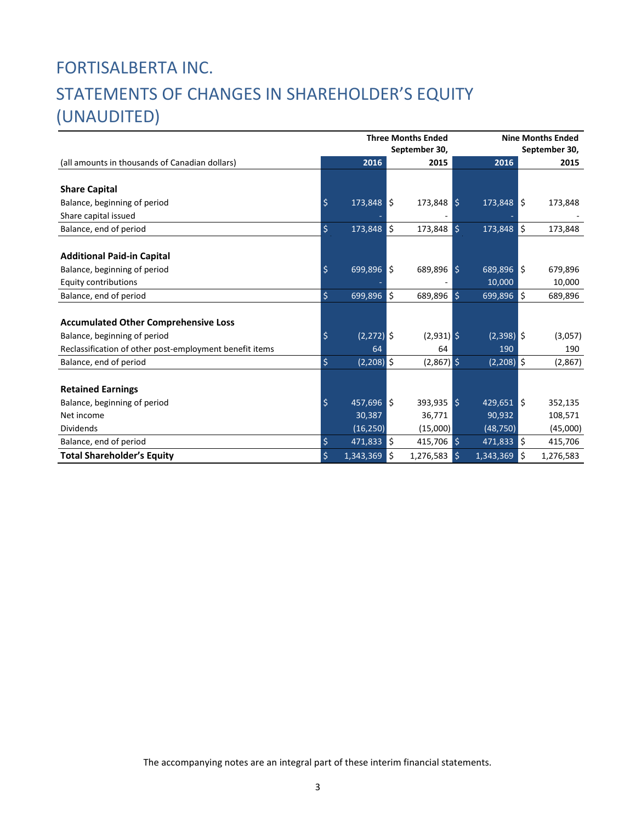# FORTISALBERTA INC. STATEMENTS OF CHANGES IN SHAREHOLDER'S EQUITY (UNAUDITED)

|                                                         | <b>Three Months Ended</b><br>September 30, |              |     |                |  | <b>Nine Months Ended</b><br>September 30, |    |           |  |  |  |
|---------------------------------------------------------|--------------------------------------------|--------------|-----|----------------|--|-------------------------------------------|----|-----------|--|--|--|
| (all amounts in thousands of Canadian dollars)          |                                            | 2016         |     | 2015           |  | 2016                                      |    | 2015      |  |  |  |
|                                                         |                                            |              |     |                |  |                                           |    |           |  |  |  |
| <b>Share Capital</b>                                    |                                            |              |     |                |  |                                           |    |           |  |  |  |
| Balance, beginning of period                            | $\varsigma$                                | 173,848      | l\$ | $173,848$ \$   |  | $173,848$ \$                              |    | 173,848   |  |  |  |
| Share capital issued                                    |                                            |              |     |                |  |                                           |    |           |  |  |  |
| Balance, end of period                                  | \$                                         | 173,848      | ١\$ | 173,848 \$     |  | 173,848                                   | \$ | 173,848   |  |  |  |
|                                                         |                                            |              |     |                |  |                                           |    |           |  |  |  |
| <b>Additional Paid-in Capital</b>                       |                                            |              |     |                |  |                                           |    |           |  |  |  |
| Balance, beginning of period                            | $\zeta$                                    | 699,896      | l\$ | $689,896$ \$   |  | 689,896 \$                                |    | 679,896   |  |  |  |
| <b>Equity contributions</b>                             |                                            |              |     |                |  | 10,000                                    |    | 10,000    |  |  |  |
| Balance, end of period                                  | \$                                         | 699,896      | ١\$ | 689,896 \$     |  | 699,896                                   | \$ | 689,896   |  |  |  |
|                                                         |                                            |              |     |                |  |                                           |    |           |  |  |  |
| <b>Accumulated Other Comprehensive Loss</b>             |                                            |              |     |                |  |                                           |    |           |  |  |  |
| Balance, beginning of period                            | \$                                         | $(2,272)$ \$ |     | $(2,931)$ \$   |  | $(2,398)$ \$                              |    | (3,057)   |  |  |  |
| Reclassification of other post-employment benefit items |                                            | 64           |     | 64             |  | 190                                       |    | 190       |  |  |  |
| Balance, end of period                                  | \$                                         | $(2,208)$ \$ |     | $(2,867)$ \$   |  | $(2,208)$ \$                              |    | (2,867)   |  |  |  |
|                                                         |                                            |              |     |                |  |                                           |    |           |  |  |  |
| <b>Retained Earnings</b>                                |                                            |              |     |                |  |                                           |    |           |  |  |  |
| Balance, beginning of period                            | \$                                         | $457,696$ \$ |     | $393,935$ \$   |  | $429,651$ \$                              |    | 352,135   |  |  |  |
| Net income                                              |                                            | 30,387       |     | 36,771         |  | 90,932                                    |    | 108,571   |  |  |  |
| <b>Dividends</b>                                        |                                            | (16, 250)    |     | (15,000)       |  | (48, 750)                                 |    | (45,000)  |  |  |  |
| Balance, end of period                                  | \$                                         | 471,833      | ۱\$ | 415,706 \$     |  | 471,833                                   | \$ | 415,706   |  |  |  |
| <b>Total Shareholder's Equity</b>                       | \$                                         | 1,343,369    | \$  | $1,276,583$ \$ |  | 1,343,369                                 | \$ | 1,276,583 |  |  |  |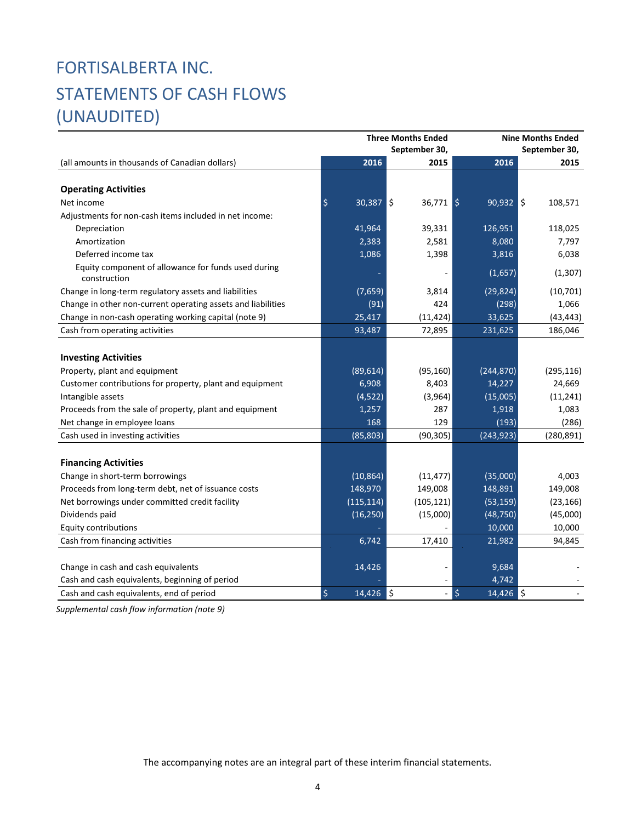# FORTISALBERTA INC. STATEMENTS OF CASH FLOWS (UNAUDITED)

| September 30,<br>2016<br>2015<br>2016<br>2015<br>(all amounts in thousands of Canadian dollars)<br><b>Operating Activities</b><br>$\varsigma$<br>l\$<br>$36,771$ \$<br>$90,932$ \$<br>108,571<br>Net income<br>30,387<br>Adjustments for non-cash items included in net income:<br>41,964<br>126,951<br>Depreciation<br>39,331<br>118,025<br>Amortization<br>8,080<br>2,383<br>2,581<br>7,797<br>Deferred income tax<br>1,086<br>1,398<br>3,816<br>6,038<br>Equity component of allowance for funds used during<br>(1,657)<br>(1,307)<br>construction<br>Change in long-term regulatory assets and liabilities<br>(7,659)<br>3,814<br>(29, 824)<br>(10, 701)<br>Change in other non-current operating assets and liabilities<br>(91)<br>424<br>(298)<br>1,066<br>33,625<br>Change in non-cash operating working capital (note 9)<br>25,417<br>(11, 424)<br>(43, 443)<br>Cash from operating activities<br>93,487<br>72,895<br>231,625<br>186,046<br><b>Investing Activities</b><br>Property, plant and equipment<br>(89, 614)<br>(244, 870)<br>(295, 116)<br>(95, 160)<br>6,908<br>Customer contributions for property, plant and equipment<br>8,403<br>14,227<br>24,669<br>Intangible assets<br>(4,522)<br>(3,964)<br>(15,005)<br>(11, 241)<br>Proceeds from the sale of property, plant and equipment<br>287<br>1,918<br>1,083<br>1,257<br>129<br>(193)<br>Net change in employee loans<br>168<br>(286)<br>(85, 803)<br>(90, 305)<br>(243, 923)<br>Cash used in investing activities<br>(280, 891)<br><b>Financing Activities</b><br>Change in short-term borrowings<br>(10, 864)<br>(35,000)<br>4,003<br>(11, 477)<br>148,970<br>Proceeds from long-term debt, net of issuance costs<br>149,008<br>148,891<br>149,008<br>Net borrowings under committed credit facility<br>(115, 114)<br>(105, 121)<br>(53, 159)<br>(23, 166)<br>Dividends paid<br>(16, 250)<br>(15,000)<br>(48, 750)<br>(45,000)<br><b>Equity contributions</b><br>10,000<br>10,000<br>Cash from financing activities<br>94,845<br>6,742<br>17,410<br>21,982<br>14,426<br>Change in cash and cash equivalents<br>9,684 |                                                |  | <b>Three Months Ended</b> | <b>Nine Months Ended</b> |  |  |  |  |
|--------------------------------------------------------------------------------------------------------------------------------------------------------------------------------------------------------------------------------------------------------------------------------------------------------------------------------------------------------------------------------------------------------------------------------------------------------------------------------------------------------------------------------------------------------------------------------------------------------------------------------------------------------------------------------------------------------------------------------------------------------------------------------------------------------------------------------------------------------------------------------------------------------------------------------------------------------------------------------------------------------------------------------------------------------------------------------------------------------------------------------------------------------------------------------------------------------------------------------------------------------------------------------------------------------------------------------------------------------------------------------------------------------------------------------------------------------------------------------------------------------------------------------------------------------------------------------------------------------------------------------------------------------------------------------------------------------------------------------------------------------------------------------------------------------------------------------------------------------------------------------------------------------------------------------------------------------------------------------------------------------------------------------------------------------------------------------------------|------------------------------------------------|--|---------------------------|--------------------------|--|--|--|--|
|                                                                                                                                                                                                                                                                                                                                                                                                                                                                                                                                                                                                                                                                                                                                                                                                                                                                                                                                                                                                                                                                                                                                                                                                                                                                                                                                                                                                                                                                                                                                                                                                                                                                                                                                                                                                                                                                                                                                                                                                                                                                                            |                                                |  | September 30,             |                          |  |  |  |  |
|                                                                                                                                                                                                                                                                                                                                                                                                                                                                                                                                                                                                                                                                                                                                                                                                                                                                                                                                                                                                                                                                                                                                                                                                                                                                                                                                                                                                                                                                                                                                                                                                                                                                                                                                                                                                                                                                                                                                                                                                                                                                                            |                                                |  |                           |                          |  |  |  |  |
|                                                                                                                                                                                                                                                                                                                                                                                                                                                                                                                                                                                                                                                                                                                                                                                                                                                                                                                                                                                                                                                                                                                                                                                                                                                                                                                                                                                                                                                                                                                                                                                                                                                                                                                                                                                                                                                                                                                                                                                                                                                                                            |                                                |  |                           |                          |  |  |  |  |
|                                                                                                                                                                                                                                                                                                                                                                                                                                                                                                                                                                                                                                                                                                                                                                                                                                                                                                                                                                                                                                                                                                                                                                                                                                                                                                                                                                                                                                                                                                                                                                                                                                                                                                                                                                                                                                                                                                                                                                                                                                                                                            |                                                |  |                           |                          |  |  |  |  |
|                                                                                                                                                                                                                                                                                                                                                                                                                                                                                                                                                                                                                                                                                                                                                                                                                                                                                                                                                                                                                                                                                                                                                                                                                                                                                                                                                                                                                                                                                                                                                                                                                                                                                                                                                                                                                                                                                                                                                                                                                                                                                            |                                                |  |                           |                          |  |  |  |  |
|                                                                                                                                                                                                                                                                                                                                                                                                                                                                                                                                                                                                                                                                                                                                                                                                                                                                                                                                                                                                                                                                                                                                                                                                                                                                                                                                                                                                                                                                                                                                                                                                                                                                                                                                                                                                                                                                                                                                                                                                                                                                                            |                                                |  |                           |                          |  |  |  |  |
|                                                                                                                                                                                                                                                                                                                                                                                                                                                                                                                                                                                                                                                                                                                                                                                                                                                                                                                                                                                                                                                                                                                                                                                                                                                                                                                                                                                                                                                                                                                                                                                                                                                                                                                                                                                                                                                                                                                                                                                                                                                                                            |                                                |  |                           |                          |  |  |  |  |
|                                                                                                                                                                                                                                                                                                                                                                                                                                                                                                                                                                                                                                                                                                                                                                                                                                                                                                                                                                                                                                                                                                                                                                                                                                                                                                                                                                                                                                                                                                                                                                                                                                                                                                                                                                                                                                                                                                                                                                                                                                                                                            |                                                |  |                           |                          |  |  |  |  |
|                                                                                                                                                                                                                                                                                                                                                                                                                                                                                                                                                                                                                                                                                                                                                                                                                                                                                                                                                                                                                                                                                                                                                                                                                                                                                                                                                                                                                                                                                                                                                                                                                                                                                                                                                                                                                                                                                                                                                                                                                                                                                            |                                                |  |                           |                          |  |  |  |  |
|                                                                                                                                                                                                                                                                                                                                                                                                                                                                                                                                                                                                                                                                                                                                                                                                                                                                                                                                                                                                                                                                                                                                                                                                                                                                                                                                                                                                                                                                                                                                                                                                                                                                                                                                                                                                                                                                                                                                                                                                                                                                                            |                                                |  |                           |                          |  |  |  |  |
|                                                                                                                                                                                                                                                                                                                                                                                                                                                                                                                                                                                                                                                                                                                                                                                                                                                                                                                                                                                                                                                                                                                                                                                                                                                                                                                                                                                                                                                                                                                                                                                                                                                                                                                                                                                                                                                                                                                                                                                                                                                                                            |                                                |  |                           |                          |  |  |  |  |
|                                                                                                                                                                                                                                                                                                                                                                                                                                                                                                                                                                                                                                                                                                                                                                                                                                                                                                                                                                                                                                                                                                                                                                                                                                                                                                                                                                                                                                                                                                                                                                                                                                                                                                                                                                                                                                                                                                                                                                                                                                                                                            |                                                |  |                           |                          |  |  |  |  |
|                                                                                                                                                                                                                                                                                                                                                                                                                                                                                                                                                                                                                                                                                                                                                                                                                                                                                                                                                                                                                                                                                                                                                                                                                                                                                                                                                                                                                                                                                                                                                                                                                                                                                                                                                                                                                                                                                                                                                                                                                                                                                            |                                                |  |                           |                          |  |  |  |  |
|                                                                                                                                                                                                                                                                                                                                                                                                                                                                                                                                                                                                                                                                                                                                                                                                                                                                                                                                                                                                                                                                                                                                                                                                                                                                                                                                                                                                                                                                                                                                                                                                                                                                                                                                                                                                                                                                                                                                                                                                                                                                                            |                                                |  |                           |                          |  |  |  |  |
|                                                                                                                                                                                                                                                                                                                                                                                                                                                                                                                                                                                                                                                                                                                                                                                                                                                                                                                                                                                                                                                                                                                                                                                                                                                                                                                                                                                                                                                                                                                                                                                                                                                                                                                                                                                                                                                                                                                                                                                                                                                                                            |                                                |  |                           |                          |  |  |  |  |
|                                                                                                                                                                                                                                                                                                                                                                                                                                                                                                                                                                                                                                                                                                                                                                                                                                                                                                                                                                                                                                                                                                                                                                                                                                                                                                                                                                                                                                                                                                                                                                                                                                                                                                                                                                                                                                                                                                                                                                                                                                                                                            |                                                |  |                           |                          |  |  |  |  |
|                                                                                                                                                                                                                                                                                                                                                                                                                                                                                                                                                                                                                                                                                                                                                                                                                                                                                                                                                                                                                                                                                                                                                                                                                                                                                                                                                                                                                                                                                                                                                                                                                                                                                                                                                                                                                                                                                                                                                                                                                                                                                            |                                                |  |                           |                          |  |  |  |  |
|                                                                                                                                                                                                                                                                                                                                                                                                                                                                                                                                                                                                                                                                                                                                                                                                                                                                                                                                                                                                                                                                                                                                                                                                                                                                                                                                                                                                                                                                                                                                                                                                                                                                                                                                                                                                                                                                                                                                                                                                                                                                                            |                                                |  |                           |                          |  |  |  |  |
|                                                                                                                                                                                                                                                                                                                                                                                                                                                                                                                                                                                                                                                                                                                                                                                                                                                                                                                                                                                                                                                                                                                                                                                                                                                                                                                                                                                                                                                                                                                                                                                                                                                                                                                                                                                                                                                                                                                                                                                                                                                                                            |                                                |  |                           |                          |  |  |  |  |
|                                                                                                                                                                                                                                                                                                                                                                                                                                                                                                                                                                                                                                                                                                                                                                                                                                                                                                                                                                                                                                                                                                                                                                                                                                                                                                                                                                                                                                                                                                                                                                                                                                                                                                                                                                                                                                                                                                                                                                                                                                                                                            |                                                |  |                           |                          |  |  |  |  |
|                                                                                                                                                                                                                                                                                                                                                                                                                                                                                                                                                                                                                                                                                                                                                                                                                                                                                                                                                                                                                                                                                                                                                                                                                                                                                                                                                                                                                                                                                                                                                                                                                                                                                                                                                                                                                                                                                                                                                                                                                                                                                            |                                                |  |                           |                          |  |  |  |  |
|                                                                                                                                                                                                                                                                                                                                                                                                                                                                                                                                                                                                                                                                                                                                                                                                                                                                                                                                                                                                                                                                                                                                                                                                                                                                                                                                                                                                                                                                                                                                                                                                                                                                                                                                                                                                                                                                                                                                                                                                                                                                                            |                                                |  |                           |                          |  |  |  |  |
|                                                                                                                                                                                                                                                                                                                                                                                                                                                                                                                                                                                                                                                                                                                                                                                                                                                                                                                                                                                                                                                                                                                                                                                                                                                                                                                                                                                                                                                                                                                                                                                                                                                                                                                                                                                                                                                                                                                                                                                                                                                                                            |                                                |  |                           |                          |  |  |  |  |
|                                                                                                                                                                                                                                                                                                                                                                                                                                                                                                                                                                                                                                                                                                                                                                                                                                                                                                                                                                                                                                                                                                                                                                                                                                                                                                                                                                                                                                                                                                                                                                                                                                                                                                                                                                                                                                                                                                                                                                                                                                                                                            |                                                |  |                           |                          |  |  |  |  |
|                                                                                                                                                                                                                                                                                                                                                                                                                                                                                                                                                                                                                                                                                                                                                                                                                                                                                                                                                                                                                                                                                                                                                                                                                                                                                                                                                                                                                                                                                                                                                                                                                                                                                                                                                                                                                                                                                                                                                                                                                                                                                            |                                                |  |                           |                          |  |  |  |  |
|                                                                                                                                                                                                                                                                                                                                                                                                                                                                                                                                                                                                                                                                                                                                                                                                                                                                                                                                                                                                                                                                                                                                                                                                                                                                                                                                                                                                                                                                                                                                                                                                                                                                                                                                                                                                                                                                                                                                                                                                                                                                                            |                                                |  |                           |                          |  |  |  |  |
|                                                                                                                                                                                                                                                                                                                                                                                                                                                                                                                                                                                                                                                                                                                                                                                                                                                                                                                                                                                                                                                                                                                                                                                                                                                                                                                                                                                                                                                                                                                                                                                                                                                                                                                                                                                                                                                                                                                                                                                                                                                                                            |                                                |  |                           |                          |  |  |  |  |
|                                                                                                                                                                                                                                                                                                                                                                                                                                                                                                                                                                                                                                                                                                                                                                                                                                                                                                                                                                                                                                                                                                                                                                                                                                                                                                                                                                                                                                                                                                                                                                                                                                                                                                                                                                                                                                                                                                                                                                                                                                                                                            |                                                |  |                           |                          |  |  |  |  |
|                                                                                                                                                                                                                                                                                                                                                                                                                                                                                                                                                                                                                                                                                                                                                                                                                                                                                                                                                                                                                                                                                                                                                                                                                                                                                                                                                                                                                                                                                                                                                                                                                                                                                                                                                                                                                                                                                                                                                                                                                                                                                            |                                                |  |                           |                          |  |  |  |  |
|                                                                                                                                                                                                                                                                                                                                                                                                                                                                                                                                                                                                                                                                                                                                                                                                                                                                                                                                                                                                                                                                                                                                                                                                                                                                                                                                                                                                                                                                                                                                                                                                                                                                                                                                                                                                                                                                                                                                                                                                                                                                                            | Cash and cash equivalents, beginning of period |  |                           | 4,742                    |  |  |  |  |
| $\zeta$<br>\$<br>١s<br>14,426<br>$\overline{14,426}$ \$<br>Cash and cash equivalents, end of period                                                                                                                                                                                                                                                                                                                                                                                                                                                                                                                                                                                                                                                                                                                                                                                                                                                                                                                                                                                                                                                                                                                                                                                                                                                                                                                                                                                                                                                                                                                                                                                                                                                                                                                                                                                                                                                                                                                                                                                        |                                                |  |                           |                          |  |  |  |  |

*Supplemental cash flow information (note 9)*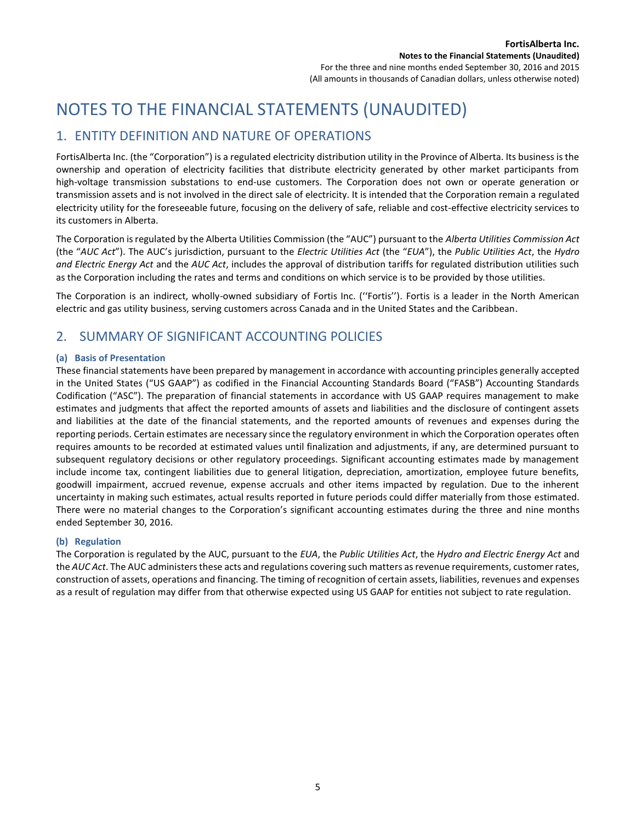# NOTES TO THE FINANCIAL STATEMENTS (UNAUDITED)

## 1. ENTITY DEFINITION AND NATURE OF OPERATIONS

FortisAlberta Inc. (the "Corporation") is a regulated electricity distribution utility in the Province of Alberta. Its business is the ownership and operation of electricity facilities that distribute electricity generated by other market participants from high-voltage transmission substations to end-use customers. The Corporation does not own or operate generation or transmission assets and is not involved in the direct sale of electricity. It is intended that the Corporation remain a regulated electricity utility for the foreseeable future, focusing on the delivery of safe, reliable and cost-effective electricity services to its customers in Alberta.

The Corporation is regulated by the Alberta Utilities Commission (the "AUC") pursuant to the *Alberta Utilities Commission Act* (the "*AUC Act*"). The AUC's jurisdiction, pursuant to the *Electric Utilities Act* (the "*EUA*"), the *Public Utilities Act*, the *Hydro and Electric Energy Act* and the *AUC Act*, includes the approval of distribution tariffs for regulated distribution utilities such as the Corporation including the rates and terms and conditions on which service is to be provided by those utilities.

The Corporation is an indirect, wholly-owned subsidiary of Fortis Inc. (''Fortis''). Fortis is a leader in the North American electric and gas utility business, serving customers across Canada and in the United States and the Caribbean.

# 2. SUMMARY OF SIGNIFICANT ACCOUNTING POLICIES

## **(a) Basis of Presentation**

These financial statements have been prepared by management in accordance with accounting principles generally accepted in the United States ("US GAAP") as codified in the Financial Accounting Standards Board ("FASB") Accounting Standards Codification ("ASC"). The preparation of financial statements in accordance with US GAAP requires management to make estimates and judgments that affect the reported amounts of assets and liabilities and the disclosure of contingent assets and liabilities at the date of the financial statements, and the reported amounts of revenues and expenses during the reporting periods. Certain estimates are necessary since the regulatory environment in which the Corporation operates often requires amounts to be recorded at estimated values until finalization and adjustments, if any, are determined pursuant to subsequent regulatory decisions or other regulatory proceedings. Significant accounting estimates made by management include income tax, contingent liabilities due to general litigation, depreciation, amortization, employee future benefits, goodwill impairment, accrued revenue, expense accruals and other items impacted by regulation. Due to the inherent uncertainty in making such estimates, actual results reported in future periods could differ materially from those estimated. There were no material changes to the Corporation's significant accounting estimates during the three and nine months ended September 30, 2016.

## **(b) Regulation**

The Corporation is regulated by the AUC, pursuant to the *EUA*, the *Public Utilities Act*, the *Hydro and Electric Energy Act* and the *AUC Act*. The AUC administers these acts and regulations covering such matters as revenue requirements, customer rates, construction of assets, operations and financing. The timing of recognition of certain assets, liabilities, revenues and expenses as a result of regulation may differ from that otherwise expected using US GAAP for entities not subject to rate regulation.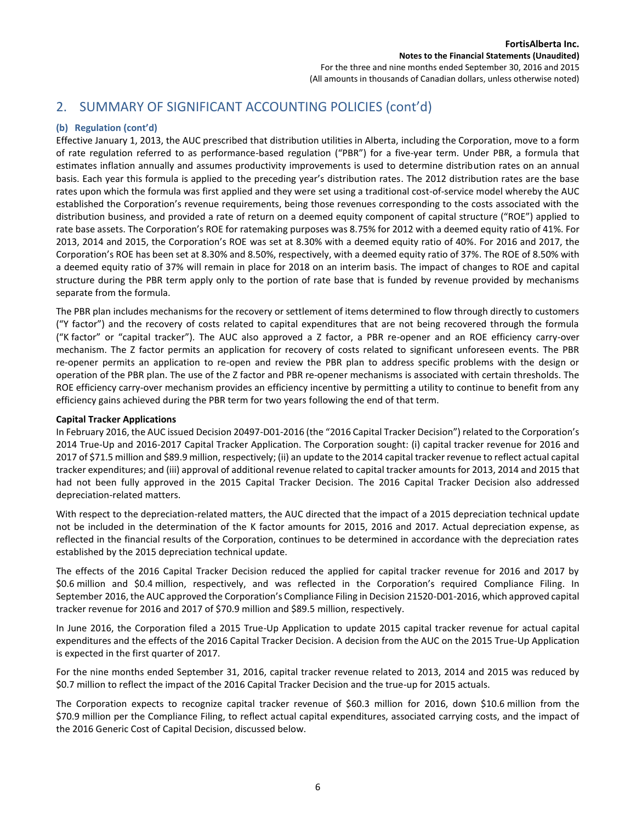# 2. SUMMARY OF SIGNIFICANT ACCOUNTING POLICIES (cont'd)

## **(b) Regulation (cont'd)**

Effective January 1, 2013, the AUC prescribed that distribution utilities in Alberta, including the Corporation, move to a form of rate regulation referred to as performance-based regulation ("PBR") for a five-year term. Under PBR, a formula that estimates inflation annually and assumes productivity improvements is used to determine distribution rates on an annual basis. Each year this formula is applied to the preceding year's distribution rates. The 2012 distribution rates are the base rates upon which the formula was first applied and they were set using a traditional cost-of-service model whereby the AUC established the Corporation's revenue requirements, being those revenues corresponding to the costs associated with the distribution business, and provided a rate of return on a deemed equity component of capital structure ("ROE") applied to rate base assets. The Corporation's ROE for ratemaking purposes was 8.75% for 2012 with a deemed equity ratio of 41%. For 2013, 2014 and 2015, the Corporation's ROE was set at 8.30% with a deemed equity ratio of 40%. For 2016 and 2017, the Corporation's ROE has been set at 8.30% and 8.50%, respectively, with a deemed equity ratio of 37%. The ROE of 8.50% with a deemed equity ratio of 37% will remain in place for 2018 on an interim basis. The impact of changes to ROE and capital structure during the PBR term apply only to the portion of rate base that is funded by revenue provided by mechanisms separate from the formula.

The PBR plan includes mechanisms for the recovery or settlement of items determined to flow through directly to customers ("Y factor") and the recovery of costs related to capital expenditures that are not being recovered through the formula ("K factor" or "capital tracker"). The AUC also approved a Z factor, a PBR re-opener and an ROE efficiency carry-over mechanism. The Z factor permits an application for recovery of costs related to significant unforeseen events. The PBR re-opener permits an application to re-open and review the PBR plan to address specific problems with the design or operation of the PBR plan. The use of the Z factor and PBR re-opener mechanisms is associated with certain thresholds. The ROE efficiency carry-over mechanism provides an efficiency incentive by permitting a utility to continue to benefit from any efficiency gains achieved during the PBR term for two years following the end of that term.

## **Capital Tracker Applications**

In February 2016, the AUC issued Decision 20497-D01-2016 (the "2016 Capital Tracker Decision") related to the Corporation's 2014 True-Up and 2016-2017 Capital Tracker Application. The Corporation sought: (i) capital tracker revenue for 2016 and 2017 of \$71.5 million and \$89.9 million, respectively; (ii) an update to the 2014 capital tracker revenue to reflect actual capital tracker expenditures; and (iii) approval of additional revenue related to capital tracker amounts for 2013, 2014 and 2015 that had not been fully approved in the 2015 Capital Tracker Decision. The 2016 Capital Tracker Decision also addressed depreciation-related matters.

With respect to the depreciation-related matters, the AUC directed that the impact of a 2015 depreciation technical update not be included in the determination of the K factor amounts for 2015, 2016 and 2017. Actual depreciation expense, as reflected in the financial results of the Corporation, continues to be determined in accordance with the depreciation rates established by the 2015 depreciation technical update.

The effects of the 2016 Capital Tracker Decision reduced the applied for capital tracker revenue for 2016 and 2017 by \$0.6 million and \$0.4 million, respectively, and was reflected in the Corporation's required Compliance Filing. In September 2016, the AUC approved the Corporation's Compliance Filing in Decision 21520-D01-2016, which approved capital tracker revenue for 2016 and 2017 of \$70.9 million and \$89.5 million, respectively.

In June 2016, the Corporation filed a 2015 True-Up Application to update 2015 capital tracker revenue for actual capital expenditures and the effects of the 2016 Capital Tracker Decision. A decision from the AUC on the 2015 True-Up Application is expected in the first quarter of 2017.

For the nine months ended September 31, 2016, capital tracker revenue related to 2013, 2014 and 2015 was reduced by \$0.7 million to reflect the impact of the 2016 Capital Tracker Decision and the true-up for 2015 actuals.

The Corporation expects to recognize capital tracker revenue of \$60.3 million for 2016, down \$10.6 million from the \$70.9 million per the Compliance Filing, to reflect actual capital expenditures, associated carrying costs, and the impact of the 2016 Generic Cost of Capital Decision, discussed below.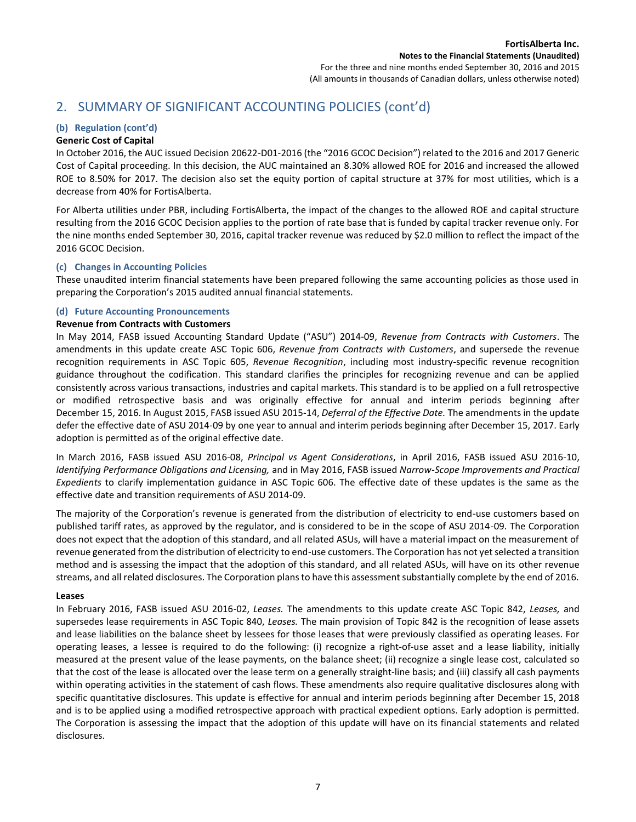## 2. SUMMARY OF SIGNIFICANT ACCOUNTING POLICIES (cont'd)

## **(b) Regulation (cont'd)**

## **Generic Cost of Capital**

In October 2016, the AUC issued Decision 20622-D01-2016 (the "2016 GCOC Decision") related to the 2016 and 2017 Generic Cost of Capital proceeding. In this decision, the AUC maintained an 8.30% allowed ROE for 2016 and increased the allowed ROE to 8.50% for 2017. The decision also set the equity portion of capital structure at 37% for most utilities, which is a decrease from 40% for FortisAlberta.

For Alberta utilities under PBR, including FortisAlberta, the impact of the changes to the allowed ROE and capital structure resulting from the 2016 GCOC Decision applies to the portion of rate base that is funded by capital tracker revenue only. For the nine months ended September 30, 2016, capital tracker revenue was reduced by \$2.0 million to reflect the impact of the 2016 GCOC Decision.

## **(c) Changes in Accounting Policies**

These unaudited interim financial statements have been prepared following the same accounting policies as those used in preparing the Corporation's 2015 audited annual financial statements.

## **(d) Future Accounting Pronouncements**

## **Revenue from Contracts with Customers**

In May 2014, FASB issued Accounting Standard Update ("ASU") 2014-09, *Revenue from Contracts with Customers*. The amendments in this update create ASC Topic 606, *Revenue from Contracts with Customers*, and supersede the revenue recognition requirements in ASC Topic 605, *Revenue Recognition*, including most industry-specific revenue recognition guidance throughout the codification. This standard clarifies the principles for recognizing revenue and can be applied consistently across various transactions, industries and capital markets. This standard is to be applied on a full retrospective or modified retrospective basis and was originally effective for annual and interim periods beginning after December 15, 2016. In August 2015, FASB issued ASU 2015-14, *Deferral of the Effective Date.* The amendments in the update defer the effective date of ASU 2014-09 by one year to annual and interim periods beginning after December 15, 2017. Early adoption is permitted as of the original effective date.

In March 2016, FASB issued ASU 2016-08, *Principal vs Agent Considerations*, in April 2016, FASB issued ASU 2016-10, *Identifying Performance Obligations and Licensing,* and in May 2016, FASB issued *Narrow-Scope Improvements and Practical Expedients* to clarify implementation guidance in ASC Topic 606. The effective date of these updates is the same as the effective date and transition requirements of ASU 2014-09.

The majority of the Corporation's revenue is generated from the distribution of electricity to end-use customers based on published tariff rates, as approved by the regulator, and is considered to be in the scope of ASU 2014-09. The Corporation does not expect that the adoption of this standard, and all related ASUs, will have a material impact on the measurement of revenue generated from the distribution of electricity to end-use customers. The Corporation has not yet selected a transition method and is assessing the impact that the adoption of this standard, and all related ASUs, will have on its other revenue streams, and all related disclosures. The Corporation plans to have this assessment substantially complete by the end of 2016.

#### **Leases**

In February 2016, FASB issued ASU 2016-02, *Leases.* The amendments to this update create ASC Topic 842, *Leases,* and supersedes lease requirements in ASC Topic 840, *Leases.* The main provision of Topic 842 is the recognition of lease assets and lease liabilities on the balance sheet by lessees for those leases that were previously classified as operating leases. For operating leases, a lessee is required to do the following: (i) recognize a right-of-use asset and a lease liability, initially measured at the present value of the lease payments, on the balance sheet; (ii) recognize a single lease cost, calculated so that the cost of the lease is allocated over the lease term on a generally straight-line basis; and (iii) classify all cash payments within operating activities in the statement of cash flows. These amendments also require qualitative disclosures along with specific quantitative disclosures. This update is effective for annual and interim periods beginning after December 15, 2018 and is to be applied using a modified retrospective approach with practical expedient options. Early adoption is permitted. The Corporation is assessing the impact that the adoption of this update will have on its financial statements and related disclosures.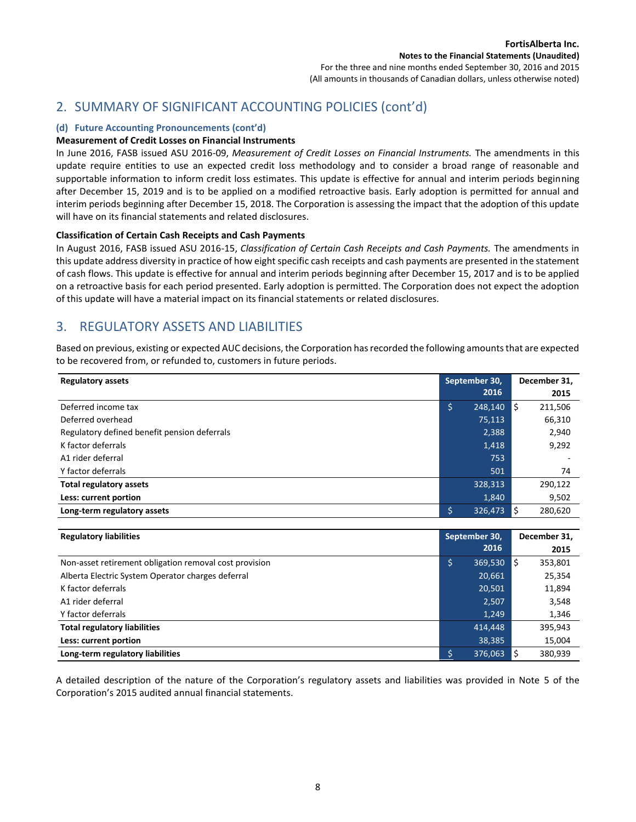## 2. SUMMARY OF SIGNIFICANT ACCOUNTING POLICIES (cont'd)

## **(d) Future Accounting Pronouncements (cont'd)**

## **Measurement of Credit Losses on Financial Instruments**

In June 2016, FASB issued ASU 2016-09, *Measurement of Credit Losses on Financial Instruments.* The amendments in this update require entities to use an expected credit loss methodology and to consider a broad range of reasonable and supportable information to inform credit loss estimates. This update is effective for annual and interim periods beginning after December 15, 2019 and is to be applied on a modified retroactive basis. Early adoption is permitted for annual and interim periods beginning after December 15, 2018. The Corporation is assessing the impact that the adoption of this update will have on its financial statements and related disclosures.

#### **Classification of Certain Cash Receipts and Cash Payments**

In August 2016, FASB issued ASU 2016-15, *Classification of Certain Cash Receipts and Cash Payments.* The amendments in this update address diversity in practice of how eight specific cash receipts and cash payments are presented in the statement of cash flows. This update is effective for annual and interim periods beginning after December 15, 2017 and is to be applied on a retroactive basis for each period presented. Early adoption is permitted. The Corporation does not expect the adoption of this update will have a material impact on its financial statements or related disclosures.

## 3. REGULATORY ASSETS AND LIABILITIES

Based on previous, existing or expected AUC decisions, the Corporation has recorded the following amounts that are expected to be recovered from, or refunded to, customers in future periods.

| <b>Regulatory assets</b>                     | September 30,   | December 31, |
|----------------------------------------------|-----------------|--------------|
|                                              | 2016            | 2015         |
| Deferred income tax                          | ۱\$,<br>248,140 | 211,506<br>S |
| Deferred overhead                            | 75,113          | 66,310       |
| Regulatory defined benefit pension deferrals | 2,388           | 2,940        |
| K factor deferrals                           | 1,418           | 9,292        |
| A1 rider deferral                            | 753             |              |
| Y factor deferrals                           | 501             | 74           |
| <b>Total regulatory assets</b>               | 328,313         | 290,122      |
| Less: current portion                        | 1,840           | 9,502        |
| Long-term regulatory assets                  | \$<br>326,473   | 280,620      |

| <b>Regulatory liabilities</b>                          | September 30, |         | December 31, |         |  |
|--------------------------------------------------------|---------------|---------|--------------|---------|--|
|                                                        |               | 2016    |              | 2015    |  |
| Non-asset retirement obligation removal cost provision | \$            | 369,530 | S            | 353,801 |  |
| Alberta Electric System Operator charges deferral      |               | 20,661  |              | 25,354  |  |
| K factor deferrals                                     |               | 20,501  |              | 11,894  |  |
| A1 rider deferral                                      |               | 2,507   |              | 3,548   |  |
| Y factor deferrals                                     |               | 1.249   |              | 1,346   |  |
| <b>Total regulatory liabilities</b>                    |               | 414.448 |              | 395,943 |  |
| Less: current portion                                  |               | 38,385  |              | 15,004  |  |
| Long-term regulatory liabilities                       | \$            | 376,063 |              | 380.939 |  |

A detailed description of the nature of the Corporation's regulatory assets and liabilities was provided in Note 5 of the Corporation's 2015 audited annual financial statements.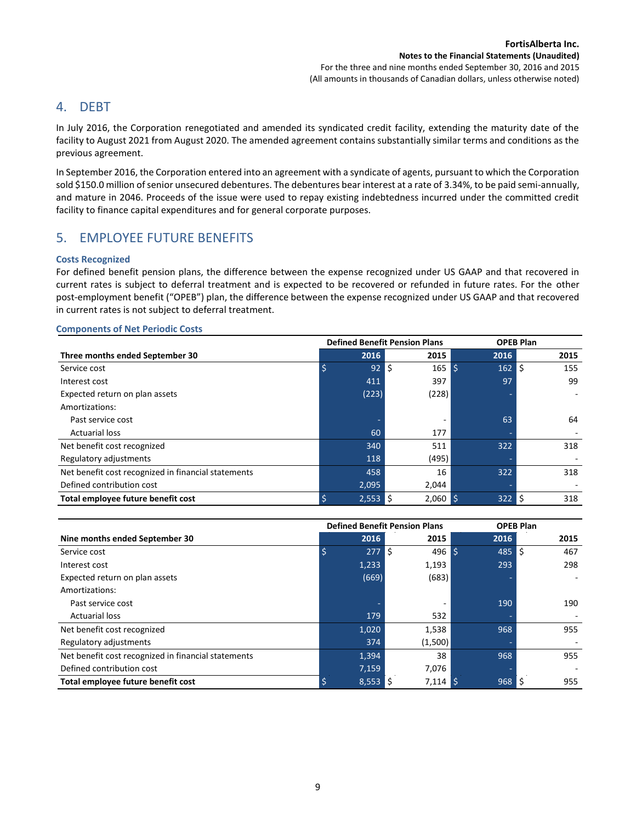## 4. DEBT

In July 2016, the Corporation renegotiated and amended its syndicated credit facility, extending the maturity date of the facility to August 2021 from August 2020. The amended agreement contains substantially similar terms and conditions as the previous agreement.

In September 2016, the Corporation entered into an agreement with a syndicate of agents, pursuant to which the Corporation sold \$150.0 million of senior unsecured debentures. The debentures bear interest at a rate of 3.34%, to be paid semi-annually, and mature in 2046. Proceeds of the issue were used to repay existing indebtedness incurred under the committed credit facility to finance capital expenditures and for general corporate purposes.

## 5. EMPLOYEE FUTURE BENEFITS

## **Costs Recognized**

For defined benefit pension plans, the difference between the expense recognized under US GAAP and that recovered in current rates is subject to deferral treatment and is expected to be recovered or refunded in future rates. For the other post-employment benefit ("OPEB") plan, the difference between the expense recognized under US GAAP and that recovered in current rates is not subject to deferral treatment.

## **Defined Benefit Pension Plans OPEB Plan Three months ended September 30 2016 2015 2016 2015** Service cost \$ 92 \$ 165 \$ 162 \$ 155 Interest cost 411 397 97 99 Expected return on plan assets (223) (228) (228) Amortizations: Past service cost - - 63 64 Actuarial loss 60 177 - - Net benefit cost recognized and the set of the set of the set of the set of the set of the set of the set of the set of the set of the set of the set of the set of the set of the set of the set of the set of the set of the Regulatory adjustments and the control of the control of the control of the control of the control of the control of the control of the control of the control of the control of the control of the control of the control of Net benefit cost recognized in financial statements 158 16 322 318 Defined contribution cost 2,095 2,044 **Total employee future benefit cost**  $\frac{1}{2}$   $\frac{1}{2}$   $\frac{1}{2}$   $\frac{1}{2}$   $\frac{1}{2}$   $\frac{1}{2}$   $\frac{1}{2}$   $\frac{1}{2}$   $\frac{1}{2}$   $\frac{1}{2}$   $\frac{1}{2}$   $\frac{1}{2}$   $\frac{1}{2}$   $\frac{1}{2}$   $\frac{1}{2}$   $\frac{1}{2}$   $\frac{1}{2}$   $\frac{1}{2}$   $\frac{$

## **Components of Net Periodic Costs**

|                                                     |       | <b>Defined Benefit Pension Plans</b> |    | <b>OPEB Plan</b> |    |      |
|-----------------------------------------------------|-------|--------------------------------------|----|------------------|----|------|
| Nine months ended September 30                      | 2016  | 2015                                 |    | 2016             |    | 2015 |
| Service cost                                        | 277   | l\$<br>496                           | ۱S | 485              | \$ | 467  |
| Interest cost                                       | 1,233 | 1,193                                |    | 293              |    | 298  |
| Expected return on plan assets                      | (669) | (683)                                |    |                  |    |      |
| Amortizations:                                      |       |                                      |    |                  |    |      |
| Past service cost                                   |       |                                      |    | 190              |    | 190  |
| <b>Actuarial loss</b>                               | 179   | 532                                  |    |                  |    |      |
| Net benefit cost recognized                         | 1,020 | 1,538                                |    | 968              |    | 955  |
| Regulatory adjustments                              | 374   | (1,500)                              |    |                  |    |      |
| Net benefit cost recognized in financial statements | 1,394 | 38                                   |    | 968              |    | 955  |
| Defined contribution cost                           | 7,159 | 7,076                                |    |                  |    |      |
| Total employee future benefit cost                  | 8,553 | $7,114$ \$<br>l Ś                    |    | 968              | \$ | 955  |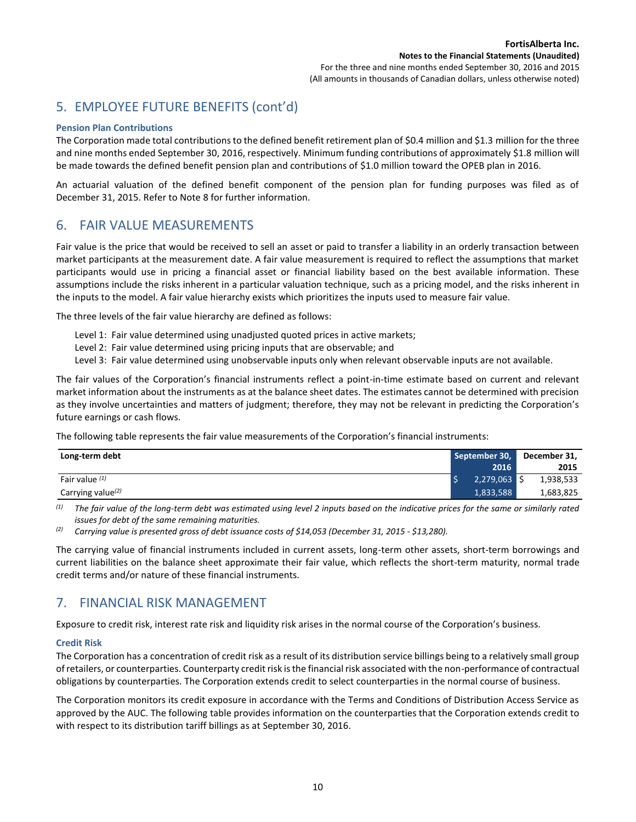# 5. EMPLOYEE FUTURE BENEFITS (cont'd)

#### **Pension Plan Contributions**

The Corporation made total contributions to the defined benefit retirement plan of \$0.4 million and \$1.3 million for the three and nine months ended September 30, 2016, respectively. Minimum funding contributions of approximately \$1.8 million will be made towards the defined benefit pension plan and contributions of \$1.0 million toward the OPEB plan in 2016.

An actuarial valuation of the defined benefit component of the pension plan for funding purposes was filed as of December 31, 2015. Refer to Note 8 for further information.

## 6. FAIR VALUE MEASUREMENTS

Fair value is the price that would be received to sell an asset or paid to transfer a liability in an orderly transaction between market participants at the measurement date. A fair value measurement is required to reflect the assumptions that market participants would use in pricing a financial asset or financial liability based on the best available information. These assumptions include the risks inherent in a particular valuation technique, such as a pricing model, and the risks inherent in the inputs to the model. A fair value hierarchy exists which prioritizes the inputs used to measure fair value.

The three levels of the fair value hierarchy are defined as follows:

- Level 1: Fair value determined using unadjusted quoted prices in active markets;
- Level 2: Fair value determined using pricing inputs that are observable; and
- Level 3: Fair value determined using unobservable inputs only when relevant observable inputs are not available.

The fair values of the Corporation's financial instruments reflect a point-in-time estimate based on current and relevant market information about the instruments as at the balance sheet dates. The estimates cannot be determined with precision as they involve uncertainties and matters of judgment; therefore, they may not be relevant in predicting the Corporation's future earnings or cash flows.

The following table represents the fair value measurements of the Corporation's financial instruments:

| Long-term debt       | September 30,  |  | December 31, |
|----------------------|----------------|--|--------------|
|                      | 2016           |  | 2015         |
| Fair value $(1)$     | $2,279,063$ \$ |  | 1,938,533    |
| Carrying value $(2)$ | 1,833,588      |  | 1,683,825    |

*(1) The fair value of the long-term debt was estimated using level 2 inputs based on the indicative prices for the same or similarly rated issues for debt of the same remaining maturities.*

*(2) Carrying value is presented gross of debt issuance costs of \$14,053 (December 31, 2015 - \$13,280).*

The carrying value of financial instruments included in current assets, long-term other assets, short-term borrowings and current liabilities on the balance sheet approximate their fair value, which reflects the short-term maturity, normal trade credit terms and/or nature of these financial instruments.

## 7. FINANCIAL RISK MANAGEMENT

Exposure to credit risk, interest rate risk and liquidity risk arises in the normal course of the Corporation's business.

## **Credit Risk**

The Corporation has a concentration of credit risk as a result of its distribution service billings being to a relatively small group of retailers, or counterparties. Counterparty credit risk is the financial risk associated with the non-performance of contractual obligations by counterparties. The Corporation extends credit to select counterparties in the normal course of business.

The Corporation monitors its credit exposure in accordance with the Terms and Conditions of Distribution Access Service as approved by the AUC. The following table provides information on the counterparties that the Corporation extends credit to with respect to its distribution tariff billings as at September 30, 2016.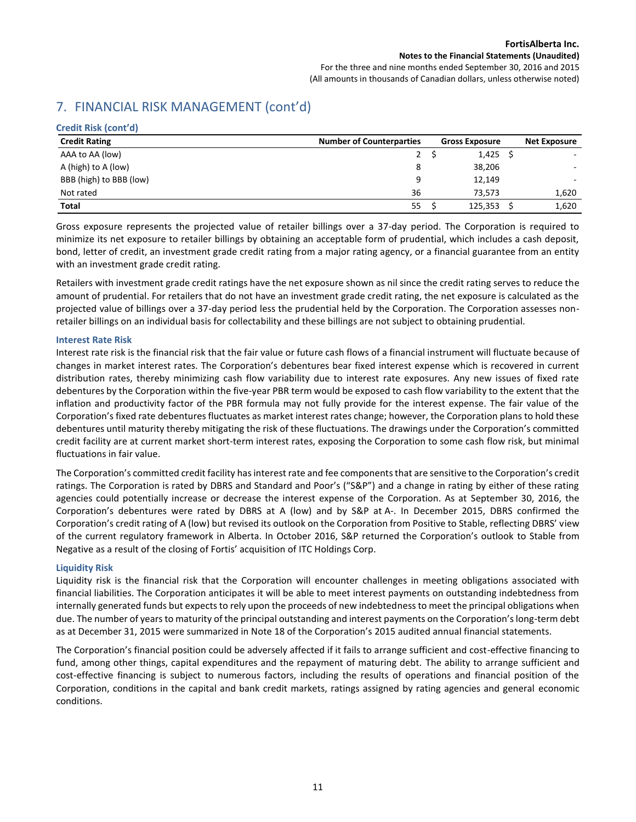## **Notes to the Financial Statements (Unaudited)**

For the three and nine months ended September 30, 2016 and 2015 (All amounts in thousands of Canadian dollars, unless otherwise noted)

# 7. FINANCIAL RISK MANAGEMENT (cont'd)

| Credit Risk (cont'd)    |                                 |                       |                     |
|-------------------------|---------------------------------|-----------------------|---------------------|
| <b>Credit Rating</b>    | <b>Number of Counterparties</b> | <b>Gross Exposure</b> | <b>Net Exposure</b> |
| AAA to AA (low)         | $2^{\circ}$                     | $1,425$ \$            |                     |
| A (high) to A (low)     | 8                               | 38,206                |                     |
| BBB (high) to BBB (low) | 9                               | 12,149                |                     |
| Not rated               | 36                              | 73.573                | 1,620               |
| <b>Total</b>            | 55                              | 125,353               | 1,620               |

Gross exposure represents the projected value of retailer billings over a 37-day period. The Corporation is required to minimize its net exposure to retailer billings by obtaining an acceptable form of prudential, which includes a cash deposit, bond, letter of credit, an investment grade credit rating from a major rating agency, or a financial guarantee from an entity with an investment grade credit rating.

Retailers with investment grade credit ratings have the net exposure shown as nil since the credit rating serves to reduce the amount of prudential. For retailers that do not have an investment grade credit rating, the net exposure is calculated as the projected value of billings over a 37-day period less the prudential held by the Corporation. The Corporation assesses nonretailer billings on an individual basis for collectability and these billings are not subject to obtaining prudential.

## **Interest Rate Risk**

Interest rate risk is the financial risk that the fair value or future cash flows of a financial instrument will fluctuate because of changes in market interest rates. The Corporation's debentures bear fixed interest expense which is recovered in current distribution rates, thereby minimizing cash flow variability due to interest rate exposures. Any new issues of fixed rate debentures by the Corporation within the five-year PBR term would be exposed to cash flow variability to the extent that the inflation and productivity factor of the PBR formula may not fully provide for the interest expense. The fair value of the Corporation's fixed rate debentures fluctuates as market interest rates change; however, the Corporation plans to hold these debentures until maturity thereby mitigating the risk of these fluctuations. The drawings under the Corporation's committed credit facility are at current market short-term interest rates, exposing the Corporation to some cash flow risk, but minimal fluctuations in fair value.

The Corporation's committed credit facility has interest rate and fee components that are sensitive to the Corporation's credit ratings. The Corporation is rated by DBRS and Standard and Poor's ("S&P") and a change in rating by either of these rating agencies could potentially increase or decrease the interest expense of the Corporation. As at September 30, 2016, the Corporation's debentures were rated by DBRS at A (low) and by S&P at A-. In December 2015, DBRS confirmed the Corporation's credit rating of A (low) but revised its outlook on the Corporation from Positive to Stable, reflecting DBRS' view of the current regulatory framework in Alberta. In October 2016, S&P returned the Corporation's outlook to Stable from Negative as a result of the closing of Fortis' acquisition of ITC Holdings Corp.

## **Liquidity Risk**

Liquidity risk is the financial risk that the Corporation will encounter challenges in meeting obligations associated with financial liabilities. The Corporation anticipates it will be able to meet interest payments on outstanding indebtedness from internally generated funds but expects to rely upon the proceeds of new indebtedness to meet the principal obligations when due. The number of years to maturity of the principal outstanding and interest payments on the Corporation's long-term debt as at December 31, 2015 were summarized in Note 18 of the Corporation's 2015 audited annual financial statements.

The Corporation's financial position could be adversely affected if it fails to arrange sufficient and cost-effective financing to fund, among other things, capital expenditures and the repayment of maturing debt. The ability to arrange sufficient and cost-effective financing is subject to numerous factors, including the results of operations and financial position of the Corporation, conditions in the capital and bank credit markets, ratings assigned by rating agencies and general economic conditions.